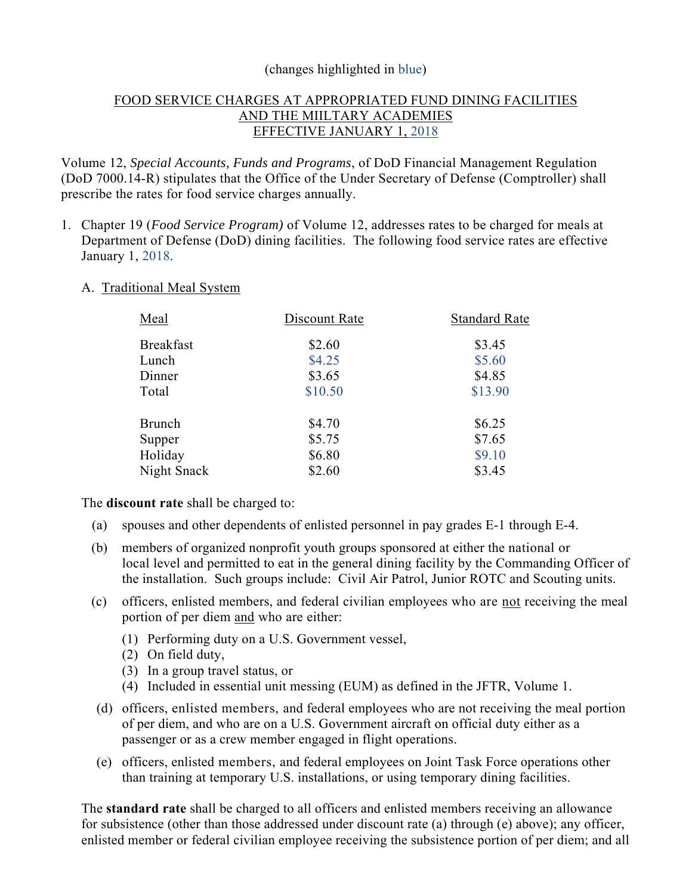### (changes highlighted in blue)

# FOOD SERVICE CHARGES AT APPROPRIATED FUND DINING FACILITIES AND THE MIILTARY ACADEMIES EFFECTIVE JANUARY 1, 2018

Volume 12, *Special Accounts, Funds and Programs*, of DoD Financial Management Regulation (DoD 7000.14-R) stipulates that the Office of the Under Secretary of Defense (Comptroller) shall prescribe the rates for food service charges annually.

1. Chapter 19 (*Food Service Program)* of Volume 12, addresses rates to be charged for meals at Department of Defense (DoD) dining facilities. The following food service rates are effective January 1, 2018.

#### A. Traditional Meal System

| Meal             | Discount Rate | <b>Standard Rate</b> |
|------------------|---------------|----------------------|
| <b>Breakfast</b> | \$2.60        | \$3.45               |
| Lunch            | \$4.25        | \$5.60               |
| Dinner           | \$3.65        | \$4.85               |
| Total            | \$10.50       | \$13.90              |
| Brunch           | \$4.70        | \$6.25               |
| Supper           | \$5.75        | \$7.65               |
| Holiday          | \$6.80        | \$9.10               |
| Night Snack      | \$2.60        | \$3.45               |

# The **discount rate** shall be charged to:

- (a) spouses and other dependents of enlisted personnel in pay grades E-1 through E-4.
- (b) members of organized nonprofit youth groups sponsored at either the national or local level and permitted to eat in the general dining facility by the Commanding Officer of the installation. Such groups include: Civil Air Patrol, Junior ROTC and Scouting units.
- (c) officers, enlisted members, and federal civilian employees who are not receiving the meal portion of per diem and who are either:
	- (1) Performing duty on a U.S. Government vessel,
	- (2) On field duty,
	- (3) In a group travel status, or
	- (4) Included in essential unit messing (EUM) as defined in the JFTR, Volume 1.
- (d) officers, enlisted members, and federal employees who are not receiving the meal portion of per diem, and who are on a U.S. Government aircraft on official duty either as a passenger or as a crew member engaged in flight operations.
- (e) officers, enlisted members, and federal employees on Joint Task Force operations other than training at temporary U.S. installations, or using temporary dining facilities.

The **standard rate** shall be charged to all officers and enlisted members receiving an allowance for subsistence (other than those addressed under discount rate (a) through (e) above); any officer, enlisted member or federal civilian employee receiving the subsistence portion of per diem; and all